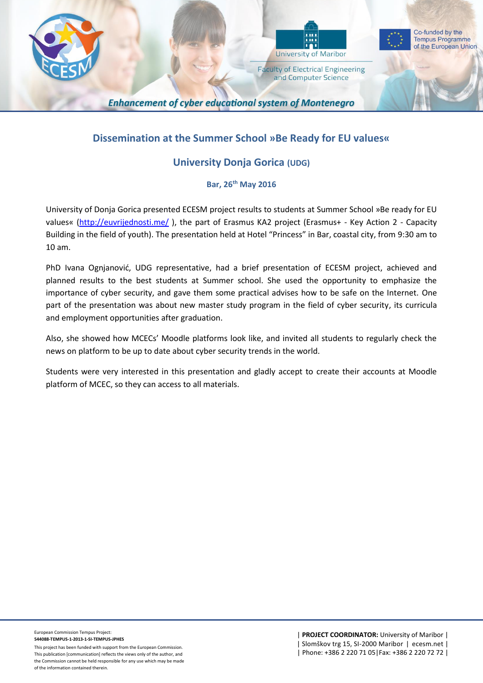



Co-funded by the **Tempus Programme** of the European Union

**Faculty of Electrical Engineering** and Computer Science

**Enhancement of cyber educational system of Montenegro** 

# **Dissemination at the Summer School »Be Ready for EU values«**

## **University Donja Gorica (UDG)**

### **Bar, 26 th May 2016**

University of Donja Gorica presented ECESM project results to students at Summer School »Be ready for EU values« [\(http://euvrijednosti.me/](http://euvrijednosti.me/) ), the part of Erasmus KA2 project (Erasmus+ - Key Action 2 - Capacity Building in the field of youth). The presentation held at Hotel "Princess" in Bar, coastal city, from 9:30 am to 10 am.

PhD Ivana Ognjanović, UDG representative, had a brief presentation of ECESM project, achieved and planned results to the best students at Summer school. She used the opportunity to emphasize the importance of cyber security, and gave them some practical advises how to be safe on the Internet. One part of the presentation was about new master study program in the field of cyber security, its curricula and employment opportunities after graduation.

Also, she showed how MCECs' Moodle platforms look like, and invited all students to regularly check the news on platform to be up to date about cyber security trends in the world.

Students were very interested in this presentation and gladly accept to create their accounts at Moodle platform of MCEC, so they can access to all materials.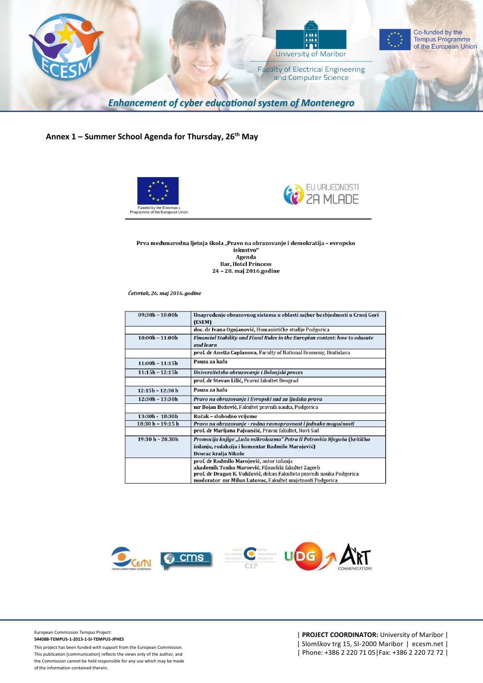

### **Annex 1 – Summer School Agenda for Thursday, 26th May**





Prva međunarodna ljetnja škola "Pravo na obrazovanje i demokratija - evropsko iskustvo" Agenda **Bar, Hotel Princess** 24 - 28. maj 2016.godine

Četvrtak, 26. maj 2016. godine

| $09:30h - 10:00h$ | Unapređenje obrazovnog sistema u oblasti sajber bezbjednosti u Crnoj Gori<br>(ESEM)       |
|-------------------|-------------------------------------------------------------------------------------------|
|                   | doc. dr Ivana Ognjanović, Humanističke studije Podgorica                                  |
| $10:00h - 11:00h$ | Financial Stability and Fiscal Rules in the Europian context: how to educate<br>and learn |
|                   | prof. dr Anetta Caplanova, Faculty of National Economy, Bratislava                        |
| $11:00h - 11:15h$ | Pauza za kafu                                                                             |
| $11:15h - 12:15h$ | Univerzitetsko obrazovanje i Bolonjski proces                                             |
|                   | prof. dr Stevan Lilić, Pravni fakultet Beograd                                            |
| $12:15h - 12:30h$ | Pauza za kafu                                                                             |
| $12:30h - 13:30h$ | Pravo na obrazovanje i Evropski sud za ljudska prava                                      |
|                   | mr Bojan Božović, Fakultet pravnih nauka, Podgorica                                       |
| 13:30h - 18:30h   | Ručak - slobodno vrijeme                                                                  |
| 18:30 h - 19:15 h | Pravo na obrazovanje - rodna ravnopravnost i jednake mogućnosti                           |
|                   | prof. dr Marijana Pajvančić, Pravni fakultet, Novi Sad                                    |
| 19:30 h - 20.30h  | Promocija knjige "Luča mikrokozma" Petra II Petrovića Njegoša (kritičko                   |
|                   | izdanje, redakcija i komentar Radmilo Marojević)                                          |
|                   | Dvorac kralja Nikole                                                                      |
|                   | prof. dr Radmilo Marojević, autor izdanja                                                 |
|                   | akademik Tonko Maroević, Filozofski fakultet Zagreb                                       |
|                   | prof. dr Dragan K. Vukčević, dekan Fakulteta pravnih nauka Podgorica                      |
|                   | moderator mr Milun Lutovac, Fakultet umjetnosti Podgorica                                 |



European Commission Tempus Project: **544088-TEMPUS-1-2013-1-SI-TEMPUS-JPHES**

This project has been funded with support from the European Commission. This publication [communication] reflects the views only of the author, and the Commission cannot be held responsible for any use which may be made of the information contained therein.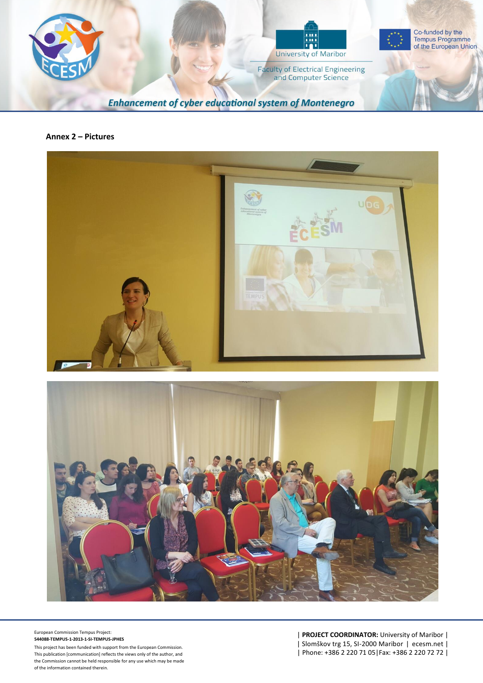

#### **Annex 2 – Pictures**





European Commission Tempus Project: **544088-TEMPUS-1-2013-1-SI-TEMPUS-JPHES**

This project has been funded with support from the European Commission. This publication [communication] reflects the views only of the author, and the Commission cannot be held responsible for any use which may be made of the information contained therein.

| **PROJECT COORDINATOR:** University of Maribor | | Slomškov trg 15, SI-2000 Maribor | ecesm.net | | Phone: +386 2 220 71 05|Fax: +386 2 220 72 72 |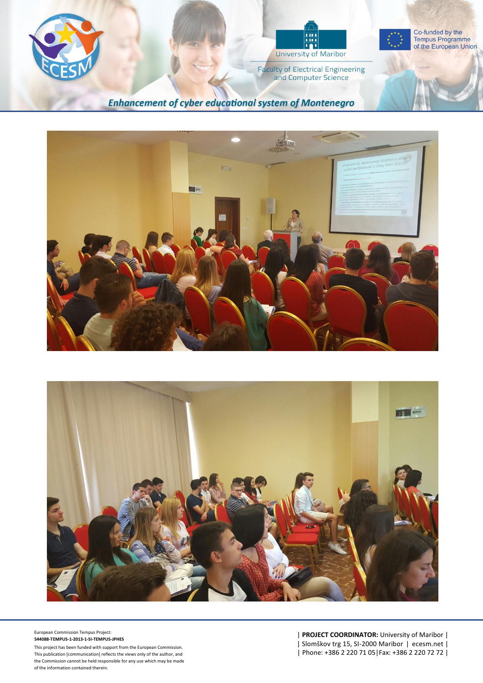





**Faculty of Electrical Engineering** and Computer Science

**Enhancement of cyber educational system of Montenegro** 





European Commission Tempus Project: **544088 -TEMPUS - 1 -2013 - 1 -SI -TEMPUS -JPHES**

This project has been funded with support from the European Commission. This publication [communication] reflects the views only of the author, and the Commission cannot be held responsible for any use which may be made

European Commission lempus Project:<br>
S44088-TEMPUS-1-2013-1-S1-TEMPUS-IPHES<br>
This project has been funded with support from the European Commission.<br>
This publication [communication] reflects the views only of the author,